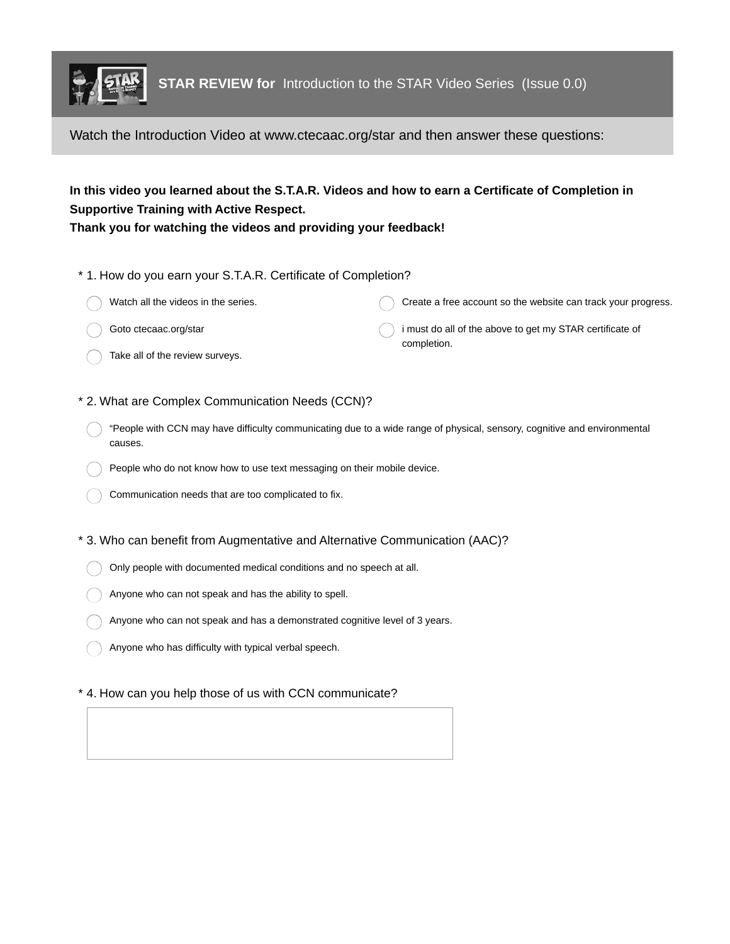

Watch the Introduction Video at www.ctecaac.org/star and then answer these questions:

## **In this video you learned about the S.T.A.R. Videos and how to earn a Certificate of Completion in Supportive Training with Active Respect. Thank you for watching the videos and providing your feedback!**

### \* 1. How do you earn your S.T.A.R. Certificate of Completion?

Watch all the videos in the series.

Create a free account so the website can track your progress.

Goto ctecaac.org/star

i must do all of the above to get my STAR certificate of completion.

Take all of the review surveys.

### \* 2. What are Complex Communication Needs (CCN)?

- "People with CCN may have difficulty communicating due to a wide range of physical, sensory, cognitive and environmental causes.
- People who do not know how to use text messaging on their mobile device.
- Communication needs that are too complicated to fix.
- \* 3. Who can benefit from Augmentative and Alternative Communication (AAC)?
	- Only people with documented medical conditions and no speech at all.
	- Anyone who can not speak and has the ability to spell.
	- Anyone who can not speak and has a demonstrated cognitive level of 3 years.
	- Anyone who has difficulty with typical verbal speech.

### \* 4. How can you help those of us with CCN communicate?